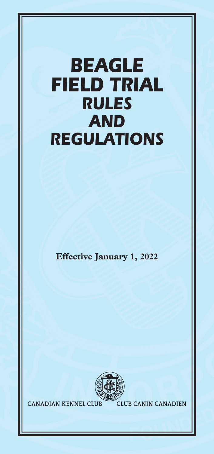# *BEAGLE FIELD TRIAL RULES AND REGULATIONS*

**Effective January 1, 2022**



**CANADIAN KENNEL CLUB CLUB CANIN CANADIEN**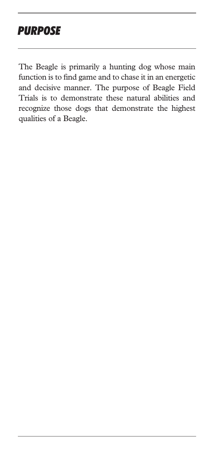### *PURPOSE*

The Beagle is primarily a hunting dog whose main function is to find game and to chase it in an energetic and decisive manner. The purpose of Beagle Field Trials is to demonstrate these natural abilities and recognize those dogs that demonstrate the highest qualities of a Beagle.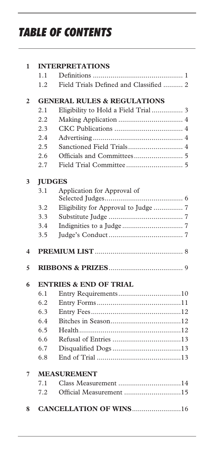## *TABLE OF CONTENTS*

| 1              |                                        | <b>INTERPRETATIONS</b>                 |  |  |  |
|----------------|----------------------------------------|----------------------------------------|--|--|--|
|                | 1.1                                    |                                        |  |  |  |
|                | 1.2                                    | Field Trials Defined and Classified  2 |  |  |  |
| $\overline{2}$ | <b>GENERAL RULES &amp; REGULATIONS</b> |                                        |  |  |  |
|                | 2.1                                    | Eligibility to Hold a Field Trial  3   |  |  |  |
|                | 2.2                                    |                                        |  |  |  |
|                | 2.3                                    |                                        |  |  |  |
|                | 2.4                                    |                                        |  |  |  |
|                | 2.5                                    |                                        |  |  |  |
|                | 2.6                                    |                                        |  |  |  |
|                | 2.7                                    |                                        |  |  |  |
| 3              | <b>JUDGES</b>                          |                                        |  |  |  |
|                | 3.1                                    | Application for Approval of            |  |  |  |
|                |                                        |                                        |  |  |  |
|                | 3.2                                    | Eligibility for Approval to Judge  7   |  |  |  |
|                | 3.3                                    |                                        |  |  |  |
|                | 3.4                                    |                                        |  |  |  |
|                | 3.5                                    |                                        |  |  |  |
| 4              |                                        |                                        |  |  |  |
| 5              |                                        |                                        |  |  |  |
| 6              | <b>ENTRIES &amp; END OF TRIAL</b>      |                                        |  |  |  |
|                | 6.1                                    |                                        |  |  |  |
|                | 6.2                                    |                                        |  |  |  |
|                | 6.3                                    |                                        |  |  |  |
|                | 6.4                                    |                                        |  |  |  |
|                | 6.5                                    |                                        |  |  |  |
|                | 6.6                                    |                                        |  |  |  |
|                | 6.7                                    |                                        |  |  |  |
|                | 6.8                                    |                                        |  |  |  |
| 7              |                                        | <b>MEASUREMENT</b>                     |  |  |  |
|                | 7.1                                    |                                        |  |  |  |
|                | 7.2                                    | Official Measurement 15                |  |  |  |
|                |                                        |                                        |  |  |  |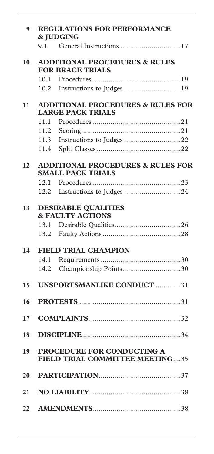| 9  | <b>REGULATIONS FOR PERFORMANCE</b><br>& JUDGING                             |                                                                     |  |
|----|-----------------------------------------------------------------------------|---------------------------------------------------------------------|--|
|    | 9.1                                                                         |                                                                     |  |
| 10 |                                                                             | <b>ADDITIONAL PROCEDURES &amp; RULES</b><br><b>FOR BRACE TRIALS</b> |  |
|    | 10.1                                                                        |                                                                     |  |
|    | 10.2                                                                        | Instructions to Judges 19                                           |  |
| 11 | <b>ADDITIONAL PROCEDURES &amp; RULES FOR</b><br><b>LARGE PACK TRIALS</b>    |                                                                     |  |
|    | 11.1                                                                        |                                                                     |  |
|    | 11.2                                                                        |                                                                     |  |
|    | 11.3                                                                        | Instructions to Judges 22                                           |  |
|    | 11.4                                                                        |                                                                     |  |
| 12 | <b>ADDITIONAL PROCEDURES &amp; RULES FOR</b><br><b>SMALL PACK TRIALS</b>    |                                                                     |  |
|    | 12.1                                                                        |                                                                     |  |
|    | 12.2                                                                        |                                                                     |  |
| 13 | <b>DESIRABLE QUALITIES</b><br><b>&amp; FAULTY ACTIONS</b>                   |                                                                     |  |
|    | 13.1                                                                        |                                                                     |  |
|    | 13.2                                                                        |                                                                     |  |
| 14 | <b>FIELD TRIAL CHAMPION</b>                                                 |                                                                     |  |
|    | 14.1                                                                        |                                                                     |  |
|    | 14.2                                                                        | Championship Points30                                               |  |
| 15 | <b>UNSPORTSMANLIKE CONDUCT 31</b>                                           |                                                                     |  |
| 16 |                                                                             |                                                                     |  |
| 17 |                                                                             |                                                                     |  |
| 18 |                                                                             |                                                                     |  |
| 19 | <b>PROCEDURE FOR CONDUCTING A</b><br><b>FIELD TRIAL COMMITTEE MEETING35</b> |                                                                     |  |
| 20 |                                                                             |                                                                     |  |
| 21 |                                                                             |                                                                     |  |
| 22 |                                                                             |                                                                     |  |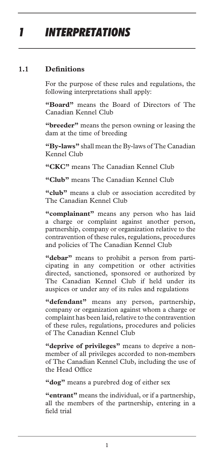## *1 INTERPRETATIONS*

### **1.1 Definitions**

For the purpose of these rules and regulations, the following interpretations shall apply:

**"Board"** means the Board of Directors of The Canadian Kennel Club

**"breeder"** means the person owning or leasing the dam at the time of breeding

**"By-laws"** shall mean the By-laws of The Canadian Kennel Club

**"CKC"** means The Canadian Kennel Club

**"Club"** means The Canadian Kennel Club

"club" means a club or association accredited by The Canadian Kennel Club

**"complainant"** means any person who has laid a charge or complaint against another person, partnership, company or organization relative to the contravention of these rules, regulations, procedures and policies of The Canadian Kennel Club

**"debar"** means to prohibit a person from participating in any competition or other activities directed, sanctioned, sponsored or authorized by The Canadian Kennel Club if held under its auspices or under any of its rules and regulations

**"defendant"** means any person, partnership, company or organization against whom a charge or complaint has been laid, relative to the contravention of these rules, regulations, procedures and policies of The Canadian Kennel Club

**"deprive of privileges"** means to deprive a nonmember of all privileges accorded to non-members of The Canadian Kennel Club, including the use of the Head Office

**"dog"** means a purebred dog of either sex

**"entrant"** means the individual, or if a partnership, all the members of the partnership, entering in a field trial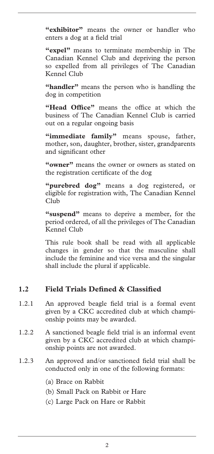**"exhibitor"** means the owner or handler who enters a dog at a field trial

**"expel"** means to terminate membership in The Canadian Kennel Club and depriving the person so expelled from all privileges of The Canadian Kennel Club

**"handler"** means the person who is handling the dog in competition

**"Head Office"** means the office at which the business of The Canadian Kennel Club is carried out on a regular ongoing basis

**"immediate family"** means spouse, father, mother, son, daughter, brother, sister, grandparents and significant other

**"owner"** means the owner or owners as stated on the registration certificate of the dog

**"purebred dog"** means a dog registered, or eligible for registration with, The Canadian Kennel Club

**"suspend"** means to deprive a member, for the period ordered, of all the privileges of The Canadian Kennel Club

This rule book shall be read with all applicable changes in gender so that the masculine shall include the feminine and vice versa and the singular shall include the plural if applicable.

### **1.2 Field Trials Defined & Classified**

- 1.2.1 An approved beagle field trial is a formal event given by a CKC accredited club at which championship points may be awarded.
- 1.2.2 A sanctioned beagle field trial is an informal event given by a CKC accredited club at which championship points are not awarded.
- 1.2.3 An approved and/or sanctioned field trial shall be conducted only in one of the following formats:
	- (a) Brace on Rabbit
	- (b) Small Pack on Rabbit or Hare
	- (c) Large Pack on Hare or Rabbit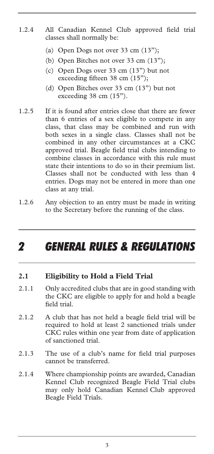- 1.2.4 All Canadian Kennel Club approved field trial classes shall normally be:
	- (a) Open Dogs not over 33 cm (13");
	- (b) Open Bitches not over 33 cm (13");
	- (c) Open Dogs over 33 cm (13") but not exceeding fifteen 38 cm (15");
	- (d) Open Bitches over 33 cm (13") but not exceeding 38 cm (15").
- 1.2.5 If it is found after entries close that there are fewer than 6 entries of a sex eligible to compete in any class, that class may be combined and run with both sexes in a single class. Classes shall not be combined in any other circumstances at a CKC approved trial. Beagle field trial clubs intending to combine classes in accordance with this rule must state their intentions to do so in their premium list. Classes shall not be conducted with less than 4 entries. Dogs may not be entered in more than one class at any trial.
- 1.2.6 Any objection to an entry must be made in writing to the Secretary before the running of the class.

## *2 GENERAL RULES & REGULATIONS*

#### **2.1 Eligibility to Hold a Field Trial**

- 2.1.1 Only accredited clubs that are in good standing with the CKC are eligible to apply for and hold a beagle field trial.
- 2.1.2 A club that has not held a beagle field trial will be required to hold at least 2 sanctioned trials under CKC rules within one year from date of application of sanctioned trial.
- 2.1.3 The use of a club's name for field trial purposes cannot be transferred.
- 2.1.4 Where championship points are awarded, Canadian Kennel Club recognized Beagle Field Trial clubs may only hold Canadian Kennel Club approved Beagle Field Trials.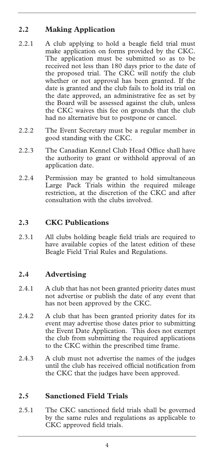### **2.2 Making Application**

- 2.2.1 A club applying to hold a beagle field trial must make application on forms provided by the CKC. The application must be submitted so as to be received not less than 180 days prior to the date of the proposed trial. The CKC will notify the club whether or not approval has been granted. If the date is granted and the club fails to hold its trial on the date approved, an administrative fee as set by the Board will be assessed against the club, unless the CKC waives this fee on grounds that the club had no alternative but to postpone or cancel.
- 2.2.2 The Event Secretary must be a regular member in good standing with the CKC.
- 2.2.3 The Canadian Kennel Club Head Office shall have the authority to grant or withhold approval of an application date.
- 2.2.4 Permission may be granted to hold simultaneous Large Pack Trials within the required mileage restriction, at the discretion of the CKC and after consultation with the clubs involved.

### **2.3 CKC Publications**

2.3.1 All clubs holding beagle field trials are required to have available copies of the latest edition of these Beagle Field Trial Rules and Regulations.

### **2.4 Advertising**

- 2.4.1 A club that has not been granted priority dates must not advertise or publish the date of any event that has not been approved by the CKC.
- 2.4.2 A club that has been granted priority dates for its event may advertise those dates prior to submitting the Event Date Application. This does not exempt the club from submitting the required applications to the CKC within the prescribed time frame.
- 2.4.3 A club must not advertise the names of the judges until the club has received official notification from the CKC that the judges have been approved.

### **2.5 Sanctioned Field Trials**

2.5.1 The CKC sanctioned field trials shall be governed by the same rules and regulations as applicable to CKC approved field trials.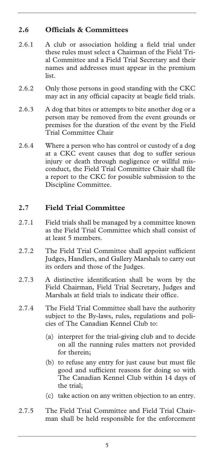### **2.6 Officials & Committees**

- 2.6.1 A club or association holding a field trial under these rules must select a Chairman of the Field Trial Committee and a Field Trial Secretary and their names and addresses must appear in the premium list.
- 2.6.2 Only those persons in good standing with the CKC may act in any official capacity at beagle field trials.
- 2.6.3 A dog that bites or attempts to bite another dog or a person may be removed from the event grounds or premises for the duration of the event by the Field Trial Committee Chair
- 2.6.4 Where a person who has control or custody of a dog at a CKC event causes that dog to suffer serious injury or death through negligence or willful misconduct, the Field Trial Committee Chair shall file a report to the CKC for possible submission to the Discipline Committee.

### **2.7 Field Trial Committee**

- 2.7.1 Field trials shall be managed by a committee known as the Field Trial Committee which shall consist of at least 5 members.
- 2.7.2 The Field Trial Committee shall appoint sufficient Judges, Handlers, and Gallery Marshals to carry out its orders and those of the Judges.
- 2.7.3 A distinctive identification shall be worn by the Field Chairman, Field Trial Secretary, Judges and Marshals at field trials to indicate their office.
- 2.7.4 The Field Trial Committee shall have the authority subject to the By-laws, rules, regulations and policies of The Canadian Kennel Club to:
	- (a) interpret for the trial-giving club and to decide on all the running rules matters not provided for therein;
	- (b) to refuse any entry for just cause but must file good and sufficient reasons for doing so with The Canadian Kennel Club within 14 days of the trial;
	- (c) take action on any written objection to an entry.
- 2.7.5 The Field Trial Committee and Field Trial Chairman shall be held responsible for the enforcement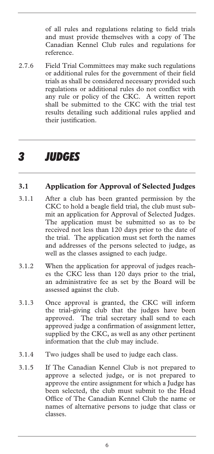of all rules and regulations relating to field trials and must provide themselves with a copy of The Canadian Kennel Club rules and regulations for reference.

2.7.6 Field Trial Committees may make such regulations or additional rules for the government of their field trials as shall be considered necessary provided such regulations or additional rules do not conflict with any rule or policy of the CKC. A written report shall be submitted to the CKC with the trial test results detailing such additional rules applied and their justification.

### *3 JUDGES*

### **3.1 Application for Approval of Selected Judges**

- 3.1.1 After a club has been granted permission by the CKC to hold a beagle field trial, the club must submit an application for Approval of Selected Judges. The application must be submitted so as to be received not less than 120 days prior to the date of the trial. The application must set forth the names and addresses of the persons selected to judge, as well as the classes assigned to each judge.
- 3.1.2 When the application for approval of judges reaches the CKC less than 120 days prior to the trial, an administrative fee as set by the Board will be assessed against the club.
- 3.1.3 Once approval is granted, the CKC will inform the trial-giving club that the judges have been approved. The trial secretary shall send to each approved judge a confirmation of assignment letter, supplied by the CKC, as well as any other pertinent information that the club may include.
- 3.1.4 Two judges shall be used to judge each class.
- 3.1.5 If The Canadian Kennel Club is not prepared to approve a selected judge, or is not prepared to approve the entire assignment for which a Judge has been selected, the club must submit to the Head Office of The Canadian Kennel Club the name or names of alternative persons to judge that class or classes.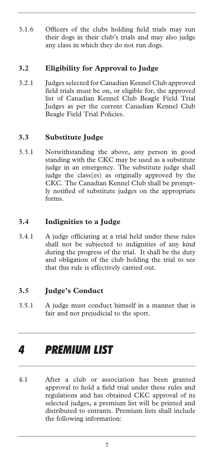3.1.6 Officers of the clubs holding field trials may run their dogs in their club's trials and may also judge any class in which they do not run dogs.

### **3.2 Eligibility for Approval to Judge**

3.2.1 Judges selected for Canadian Kennel Club approved field trials must be on, or eligible for, the approved list of Canadian Kennel Club Beagle Field Trial Judges as per the current Canadian Kennel Club Beagle Field Trial Policies.

### **3.3 Substitute Judge**

3.3.1 Notwithstanding the above, any person in good standing with the CKC may be used as a substitute judge in an emergency. The substitute judge shall judge the class(es) as originally approved by the CKC. The Canadian Kennel Club shall be promptly notified of substitute judges on the appropriate forms.

### **3.4 Indignities to a Judge**

3.4.1 A judge officiating at a trial held under these rules shall not be subjected to indignities of any kind during the progress of the trial. It shall be the duty and obligation of the club holding the trial to see that this rule is effectively carried out.

### **3.5 Judge's Conduct**

3.5.1 A judge must conduct himself in a manner that is fair and not prejudicial to the sport.

### *4 PREMIUM LIST*

4.1 After a club or association has been granted approval to hold a field trial under these rules and regulations and has obtained CKC approval of its selected judges, a premium list will be printed and distributed to entrants. Premium lists shall include the following information: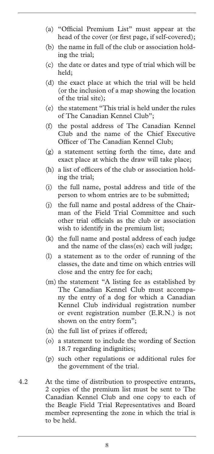- (a) "Official Premium List" must appear at the head of the cover (or first page, if self-covered);
- (b) the name in full of the club or association holding the trial;
- (c) the date or dates and type of trial which will be held;
- (d) the exact place at which the trial will be held (or the inclusion of a map showing the location of the trial site);
- (e) the statement "This trial is held under the rules of The Canadian Kennel Club";
- (f) the postal address of The Canadian Kennel Club and the name of the Chief Executive Officer of The Canadian Kennel Club;
- (g) a statement setting forth the time, date and exact place at which the draw will take place;
- (h) a list of officers of the club or association holding the trial;
- (i) the full name, postal address and title of the person to whom entries are to be submitted;
- (j) the full name and postal address of the Chairman of the Field Trial Committee and such other trial officials as the club or association wish to identify in the premium list;
- (k) the full name and postal address of each judge and the name of the class(es) each will judge;
- (l) a statement as to the order of running of the classes, the date and time on which entries will close and the entry fee for each;
- (m) the statement "A listing fee as established by The Canadian Kennel Club must accompany the entry of a dog for which a Canadian Kennel Club individual registration number or event registration number (E.R.N.) is not shown on the entry form";
- (n) the full list of prizes if offered;
- (o) a statement to include the wording of Section 18.7 regarding indignities;
- (p) such other regulations or additional rules for the government of the trial.
- 4.2 At the time of distribution to prospective entrants, 2 copies of the premium list must be sent to The Canadian Kennel Club and one copy to each of the Beagle Field Trial Representatives and Board member representing the zone in which the trial is to be held.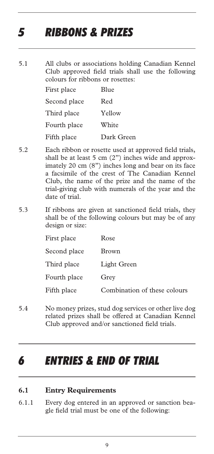## *5 RIBBONS & PRIZES*

5.1 All clubs or associations holding Canadian Kennel Club approved field trials shall use the following colours for ribbons or rosettes:

| First place  | Blue       |
|--------------|------------|
| Second place | Red        |
| Third place  | Yellow     |
| Fourth place | White      |
| Fifth place  | Dark Green |

- 5.2 Each ribbon or rosette used at approved field trials, shall be at least 5 cm (2") inches wide and approximately 20 cm (8") inches long and bear on its face a facsimile of the crest of The Canadian Kennel Club, the name of the prize and the name of the trial-giving club with numerals of the year and the date of trial.
- 5.3 If ribbons are given at sanctioned field trials, they shall be of the following colours but may be of any design or size:

| First place  | Rose                         |
|--------------|------------------------------|
| Second place | <b>Brown</b>                 |
| Third place  | Light Green                  |
| Fourth place | Grey                         |
| Fifth place  | Combination of these colours |

5.4 No money prizes, stud dog services or other live dog related prizes shall be offered at Canadian Kennel Club approved and/or sanctioned field trials.

### *6 ENTRIES & END OF TRIAL*

#### **6.1 Entry Requirements**

6.1.1 Every dog entered in an approved or sanction beagle field trial must be one of the following: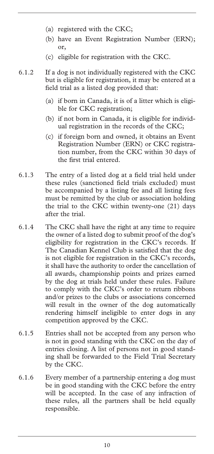- (a) registered with the CKC;
- (b) have an Event Registration Number (ERN); or,
- (c) eligible for registration with the CKC.
- 6.1.2 If a dog is not individually registered with the CKC but is eligible for registration, it may be entered at a field trial as a listed dog provided that:
	- (a) if born in Canada, it is of a litter which is eligible for CKC registration;
	- (b) if not born in Canada, it is eligible for individual registration in the records of the CKC;
	- (c) if foreign born and owned, it obtains an Event Registration Number (ERN) or CKC registration number, from the CKC within 30 days of the first trial entered.
- 6.1.3 The entry of a listed dog at a field trial held under these rules (sanctioned field trials excluded) must be accompanied by a listing fee and all listing fees must be remitted by the club or association holding the trial to the CKC within twenty-one (21) days after the trial.
- 6.1.4 The CKC shall have the right at any time to require the owner of a listed dog to submit proof of the dog's eligibility for registration in the CKC's records. If The Canadian Kennel Club is satisfied that the dog is not eligible for registration in the CKC's records, it shall have the authority to order the cancellation of all awards, championship points and prizes earned by the dog at trials held under these rules. Failure to comply with the CKC's order to return ribbons and/or prizes to the clubs or associations concerned will result in the owner of the dog automatically rendering himself ineligible to enter dogs in any competition approved by the CKC.
- 6.1.5 Entries shall not be accepted from any person who is not in good standing with the CKC on the day of entries closing. A list of persons not in good standing shall be forwarded to the Field Trial Secretary by the CKC.
- 6.1.6 Every member of a partnership entering a dog must be in good standing with the CKC before the entry will be accepted. In the case of any infraction of these rules, all the partners shall be held equally responsible.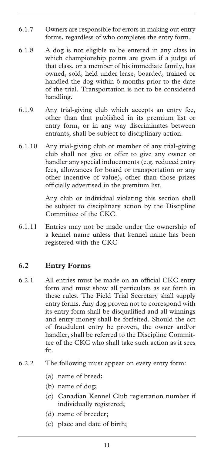- 6.1.7 Owners are responsible for errors in making out entry forms, regardless of who completes the entry form.
- 6.1.8 A dog is not eligible to be entered in any class in which championship points are given if a judge of that class, or a member of his immediate family, has owned, sold, held under lease, boarded, trained or handled the dog within 6 months prior to the date of the trial. Transportation is not to be considered handling.
- 6.1.9 Any trial-giving club which accepts an entry fee, other than that published in its premium list or entry form, or in any way discriminates between entrants, shall be subject to disciplinary action.
- 6.1.10 Any trial-giving club or member of any trial-giving club shall not give or offer to give any owner or handler any special inducements (e.g. reduced entry fees, allowances for board or transportation or any other incentive of value), other than those prizes officially advertised in the premium list.

Any club or individual violating this section shall be subject to disciplinary action by the Discipline Committee of the CKC.

6.1.11 Entries may not be made under the ownership of a kennel name unless that kennel name has been registered with the CKC

### **6.2 Entry Forms**

- 6.2.1 All entries must be made on an official CKC entry form and must show all particulars as set forth in these rules. The Field Trial Secretary shall supply entry forms. Any dog proven not to correspond with its entry form shall be disqualified and all winnings and entry money shall be forfeited. Should the act of fraudulent entry be proven, the owner and/or handler, shall be referred to the Discipline Committee of the CKC who shall take such action as it sees fit.
- 6.2.2 The following must appear on every entry form:
	- (a) name of breed;
	- (b) name of dog;
	- (c) Canadian Kennel Club registration number if individually registered;
	- (d) name of breeder;
	- (e) place and date of birth;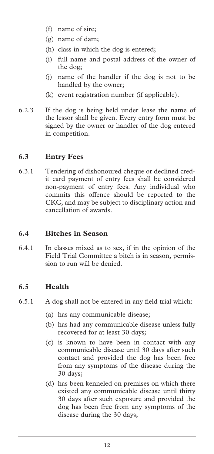- (f) name of sire;
- (g) name of dam;
- (h) class in which the dog is entered;
- (i) full name and postal address of the owner of the dog;
- (j) name of the handler if the dog is not to be handled by the owner;
- (k) event registration number (if applicable).
- 6.2.3 If the dog is being held under lease the name of the lessor shall be given. Every entry form must be signed by the owner or handler of the dog entered in competition.

### **6.3 Entry Fees**

6.3.1 Tendering of dishonoured cheque or declined credit card payment of entry fees shall be considered non-payment of entry fees. Any individual who commits this offence should be reported to the CKC, and may be subject to disciplinary action and cancellation of awards.

### **6.4 Bitches in Season**

6.4.1 In classes mixed as to sex, if in the opinion of the Field Trial Committee a bitch is in season, permission to run will be denied.

### **6.5 Health**

- 6.5.1 A dog shall not be entered in any field trial which:
	- (a) has any communicable disease;
	- (b) has had any communicable disease unless fully recovered for at least 30 days;
	- (c) is known to have been in contact with any communicable disease until 30 days after such contact and provided the dog has been free from any symptoms of the disease during the 30 days;
	- (d) has been kenneled on premises on which there existed any communicable disease until thirty 30 days after such exposure and provided the dog has been free from any symptoms of the disease during the 30 days;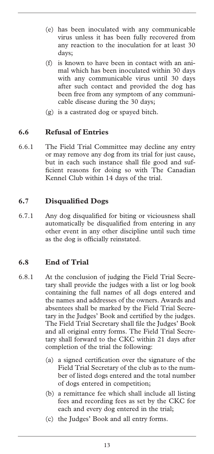- (e) has been inoculated with any communicable virus unless it has been fully recovered from any reaction to the inoculation for at least 30 days;
- (f) is known to have been in contact with an animal which has been inoculated within 30 days with any communicable virus until 30 days after such contact and provided the dog has been free from any symptom of any communicable disease during the 30 days;
- (g) is a castrated dog or spayed bitch.

#### **6.6 Refusal of Entries**

6.6.1 The Field Trial Committee may decline any entry or may remove any dog from its trial for just cause, but in each such instance shall file good and sufficient reasons for doing so with The Canadian Kennel Club within 14 days of the trial.

#### **6.7 Disqualified Dogs**

6.7.1 Any dog disqualified for biting or viciousness shall automatically be disqualified from entering in any other event in any other discipline until such time as the dog is officially reinstated.

### **6.8 End of Trial**

- 6.8.1 At the conclusion of judging the Field Trial Secretary shall provide the judges with a list or log book containing the full names of all dogs entered and the names and addresses of the owners. Awards and absentees shall be marked by the Field Trial Secretary in the Judges' Book and certified by the judges. The Field Trial Secretary shall file the Judges' Book and all original entry forms. The Field Trial Secretary shall forward to the CKC within 21 days after completion of the trial the following:
	- (a) a signed certification over the signature of the Field Trial Secretary of the club as to the number of listed dogs entered and the total number of dogs entered in competition;
	- (b) a remittance fee which shall include all listing fees and recording fees as set by the CKC for each and every dog entered in the trial;
	- (c) the Judges' Book and all entry forms.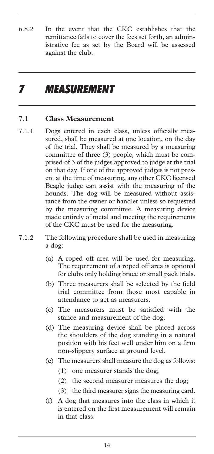6.8.2 In the event that the CKC establishes that the remittance fails to cover the fees set forth, an administrative fee as set by the Board will be assessed against the club.

### *7 MEASUREMENT*

#### **7.1 Class Measurement**

- 7.1.1 Dogs entered in each class, unless officially measured, shall be measured at one location, on the day of the trial. They shall be measured by a measuring committee of three (3) people, which must be comprised of 3 of the judges approved to judge at the trial on that day. If one of the approved judges is not present at the time of measuring, any other CKC licensed Beagle judge can assist with the measuring of the hounds. The dog will be measured without assistance from the owner or handler unless so requested by the measuring committee. A measuring device made entirely of metal and meeting the requirements of the CKC must be used for the measuring.
- 7.1.2 The following procedure shall be used in measuring a dog:
	- (a) A roped off area will be used for measuring. The requirement of a roped off area is optional for clubs only holding brace or small pack trials.
	- (b) Three measurers shall be selected by the field trial committee from those most capable in attendance to act as measurers.
	- (c) The measurers must be satisfied with the stance and measurement of the dog.
	- (d) The measuring device shall be placed across the shoulders of the dog standing in a natural position with his feet well under him on a firm non-slippery surface at ground level.
	- (e) The measurers shall measure the dog as follows:
		- (1) one measurer stands the dog;
		- (2) the second measurer measures the dog;
		- (3) the third measurer signs the measuring card.
	- (f) A dog that measures into the class in which it is entered on the first measurement will remain in that class.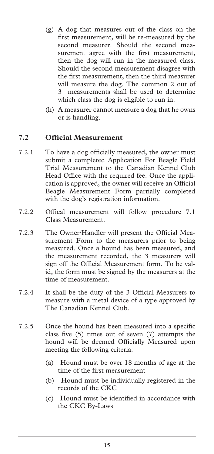- (g) A dog that measures out of the class on the first measurement, will be re-measured by the second measurer. Should the second measurement agree with the first measurement, then the dog will run in the measured class. Should the second measurement disagree with the first measurement, then the third measurer will measure the dog. The common 2 out of 3 measurements shall be used to determine which class the dog is eligible to run in.
- (h) A measurer cannot measure a dog that he owns or is handling.

#### **7.2 Official Measurement**

- 7.2.1 To have a dog officially measured, the owner must submit a completed Application For Beagle Field Trial Measurement to the Canadian Kennel Club Head Office with the required fee. Once the application is approved, the owner will receive an Official Beagle Measurement Form partially completed with the dog's registration information.
- 7.2.2 Offical measurement will follow procedure 7.1 Class Measurement.
- 7.2.3 The Owner/Handler will present the Official Measurement Form to the measurers prior to being measured. Once a hound has been measured, and the measurement recorded, the 3 measurers will sign off the Official Measurement form. To be valid, the form must be signed by the measurers at the time of measurement.
- 7.2.4 It shall be the duty of the 3 Official Measurers to measure with a metal device of a type approved by The Canadian Kennel Club.
- 7.2.5 Once the hound has been measured into a specific class five (5) times out of seven (7) attempts the hound will be deemed Officially Measured upon meeting the following criteria:
	- (a) Hound must be over 18 months of age at the time of the first measurement
	- (b) Hound must be individually registered in the records of the CKC
	- (c) Hound must be identified in accordance with the CKC By-Laws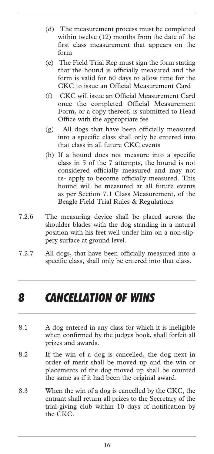- (d) The measurement process must be completed within twelve (12) months from the date of the first class measurement that appears on the form
- (e) The Field Trial Rep must sign the form stating that the hound is officially measured and the form is valid for 60 days to allow time for the CKC to issue an Official Measurement Card
- (f) CKC will issue an Official Measurement Card once the completed Official Measurement Form, or a copy thereof, is submitted to Head Office with the appropriate fee
- (g) All dogs that have been officially measured into a specific class shall only be entered into that class in all future CKC events
- (h) If a hound does not measure into a specific class in 5 of the 7 attempts, the hound is not considered officially measured and may not re- apply to become officially measured. This hound will be measured at all future events as per Section 7.1 Class Measurement, of the Beagle Field Trial Rules & Regulations
- 7.2.6 The measuring device shall be placed across the shoulder blades with the dog standing in a natural position with his feet well under him on a non-slippery surface at ground level.
- 7.2.7 All dogs, that have been officially measured into a specific class, shall only be entered into that class.

### *8 CANCELLATION OF WINS*

- 8.1 A dog entered in any class for which it is ineligible when confirmed by the judges book, shall forfeit all prizes and awards.
- 8.2 If the win of a dog is cancelled, the dog next in order of merit shall be moved up and the win or placements of the dog moved up shall be counted the same as if it had been the original award.
- 8.3 When the win of a dog is cancelled by the CKC, the entrant shall return all prizes to the Secretary of the trial-giving club within 10 days of notification by the CKC.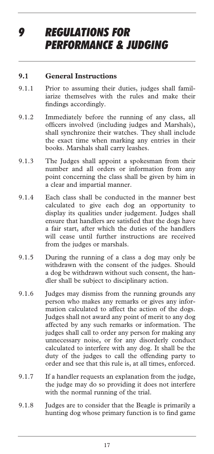## *9 REGULATIONS FOR PERFORMANCE & JUDGING*

### **9.1 General Instructions**

- 9.1.1 Prior to assuming their duties, judges shall familiarize themselves with the rules and make their findings accordingly.
- 9.1.2 Immediately before the running of any class, all officers involved (including judges and Marshals), shall synchronize their watches. They shall include the exact time when marking any entries in their books. Marshals shall carry leashes.
- 9.1.3 The Judges shall appoint a spokesman from their number and all orders or information from any point concerning the class shall be given by him in a clear and impartial manner.
- 9.1.4 Each class shall be conducted in the manner best calculated to give each dog an opportunity to display its qualities under judgement. Judges shall ensure that handlers are satisfied that the dogs have a fair start, after which the duties of the handlers will cease until further instructions are received from the judges or marshals.
- 9.1.5 During the running of a class a dog may only be withdrawn with the consent of the judges. Should a dog be withdrawn without such consent, the handler shall be subject to disciplinary action.
- 9.1.6 Judges may dismiss from the running grounds any person who makes any remarks or gives any information calculated to affect the action of the dogs. Judges shall not award any point of merit to any dog affected by any such remarks or information. The judges shall call to order any person for making any unnecessary noise, or for any disorderly conduct calculated to interfere with any dog. It shall be the duty of the judges to call the offending party to order and see that this rule is, at all times, enforced.
- 9.1.7 If a handler requests an explanation from the judge, the judge may do so providing it does not interfere with the normal running of the trial.
- 9.1.8 Judges are to consider that the Beagle is primarily a hunting dog whose primary function is to find game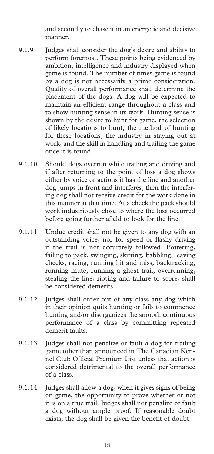and secondly to chase it in an energetic and decisive manner.

- 9.1.9 Judges shall consider the dog's desire and ability to perform foremost. These points being evidenced by ambition, intelligence and industry displayed when game is found. The number of times game is found by a dog is not necessarily a prime consideration. Quality of overall performance shall determine the placement of the dogs. A dog will be expected to maintain an efficient range throughout a class and to show hunting sense in its work. Hunting sense is shown by the desire to hunt for game, the selection of likely locations to hunt, the method of hunting for these locations, the industry in staying out at work, and the skill in handling and trailing the game once it is found.
- 9.1.10 Should dogs overrun while trailing and driving and if after returning to the point of loss a dog shows either by voice or actions it has the line and another dog jumps in front and interferes, then the interfering dog shall not receive credit for the work done in this manner at that time. At a check the pack should work industriously close to where the loss occurred before going further afield to look for the line.
- 9.1.11 Undue credit shall not be given to any dog with an outstanding voice, nor for speed or flashy driving if the trail is not accurately followed. Pottering, failing to pack, swinging, skirting, babbling, leaving checks, racing, running hit and miss, backtracking, running mute, running a ghost trail, overrunning, stealing the line, rioting and failure to score, shall be considered demerits.
- 9.1.12 Judges shall order out of any class any dog which in their opinion quits hunting or fails to commence hunting and/or disorganizes the smooth continuous performance of a class by committing repeated demerit faults.
- 9.1.13 Judges shall not penalize or fault a dog for trailing game other than announced in The Canadian Kennel Club Official Premium List unless that action is considered detrimental to the overall performance of a class.
- 9.1.14 Judges shall allow a dog, when it gives signs of being on game, the opportunity to prove whether or not it is on a true trail. Judges shall not penalize or fault a dog without ample proof. If reasonable doubt exists, the dog shall be given the benefit of doubt.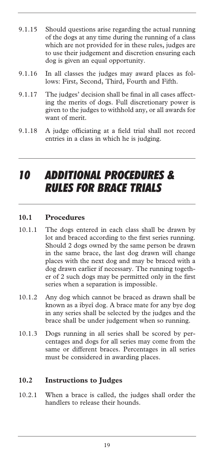- 9.1.15 Should questions arise regarding the actual running of the dogs at any time during the running of a class which are not provided for in these rules, judges are to use their judgement and discretion ensuring each dog is given an equal opportunity.
- 9.1.16 In all classes the judges may award places as follows: First, Second, Third, Fourth and Fifth.
- 9.1.17 The judges' decision shall be final in all cases affecting the merits of dogs. Full discretionary power is given to the judges to withhold any, or all awards for want of merit.
- 9.1.18 A judge officiating at a field trial shall not record entries in a class in which he is judging.

### *10 ADDITIONAL PROCEDURES & RULES FOR BRACE TRIALS*

### **10.1 Procedures**

- 10.1.1 The dogs entered in each class shall be drawn by lot and braced according to the first series running. Should 2 dogs owned by the same person be drawn in the same brace, the last dog drawn will change places with the next dog and may be braced with a dog drawn earlier if necessary. The running together of 2 such dogs may be permitted only in the first series when a separation is impossible.
- 10.1.2 Any dog which cannot be braced as drawn shall be known as a ìbyeî dog. A brace mate for any bye dog in any series shall be selected by the judges and the brace shall be under judgement when so running.
- 10.1.3 Dogs running in all series shall be scored by percentages and dogs for all series may come from the same or different braces. Percentages in all series must be considered in awarding places.

### **10.2 Instructions to Judges**

10.2.1 When a brace is called, the judges shall order the handlers to release their hounds.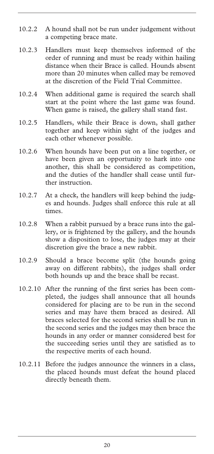- 10.2.2 A hound shall not be run under judgement without a competing brace mate.
- 10.2.3 Handlers must keep themselves informed of the order of running and must be ready within hailing distance when their Brace is called. Hounds absent more than 20 minutes when called may be removed at the discretion of the Field Trial Committee.
- 10.2.4 When additional game is required the search shall start at the point where the last game was found. When game is raised, the gallery shall stand fast.
- 10.2.5 Handlers, while their Brace is down, shall gather together and keep within sight of the judges and each other whenever possible.
- 10.2.6 When hounds have been put on a line together, or have been given an opportunity to hark into one another, this shall be considered as competition, and the duties of the handler shall cease until further instruction.
- 10.2.7 At a check, the handlers will keep behind the judges and hounds. Judges shall enforce this rule at all times.
- 10.2.8 When a rabbit pursued by a brace runs into the gallery, or is frightened by the gallery, and the hounds show a disposition to lose, the judges may at their discretion give the brace a new rabbit.
- 10.2.9 Should a brace become split (the hounds going away on different rabbits), the judges shall order both hounds up and the brace shall be recast.
- 10.2.10 After the running of the first series has been completed, the judges shall announce that all hounds considered for placing are to be run in the second series and may have them braced as desired. All braces selected for the second series shall be run in the second series and the judges may then brace the hounds in any order or manner considered best for the succeeding series until they are satisfied as to the respective merits of each hound.
- 10.2.11 Before the judges announce the winners in a class, the placed hounds must defeat the hound placed directly beneath them.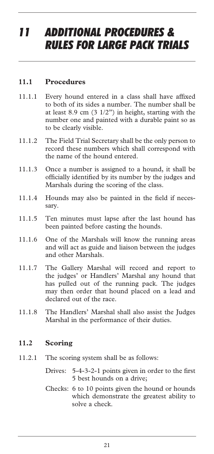## *11 ADDITIONAL PROCEDURES & RULES FOR LARGE PACK TRIALS*

#### **11.1 Procedures**

- 11.1.1 Every hound entered in a class shall have affixed to both of its sides a number. The number shall be at least 8.9 cm (3 1/2") in height, starting with the number one and painted with a durable paint so as to be clearly visible.
- 11.1.2 The Field Trial Secretary shall be the only person to record these numbers which shall correspond with the name of the hound entered.
- 11.1.3 Once a number is assigned to a hound, it shall be officially identified by its number by the judges and Marshals during the scoring of the class.
- 11.1.4 Hounds may also be painted in the field if necessary.
- 11.1.5 Ten minutes must lapse after the last hound has been painted before casting the hounds.
- 11.1.6 One of the Marshals will know the running areas and will act as guide and liaison between the judges and other Marshals.
- 11.1.7 The Gallery Marshal will record and report to the judges' or Handlers' Marshal any hound that has pulled out of the running pack. The judges may then order that hound placed on a lead and declared out of the race.
- 11.1.8 The Handlers' Marshal shall also assist the Judges Marshal in the performance of their duties.

### **11.2 Scoring**

- 11.2.1 The scoring system shall be as follows:
	- Drives: 5-4-3-2-1 points given in order to the first 5 best hounds on a drive;
	- Checks: 6 to 10 points given the hound or hounds which demonstrate the greatest ability to solve a check.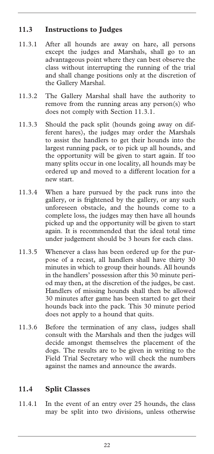### **11.3 Instructions to Judges**

- 11.3.1 After all hounds are away on hare, all persons except the judges and Marshals, shall go to an advantageous point where they can best observe the class without interrupting the running of the trial and shall change positions only at the discretion of the Gallery Marshal.
- 11.3.2 The Gallery Marshal shall have the authority to remove from the running areas any person(s) who does not comply with Section 11.3.1.
- 11.3.3 Should the pack split (hounds going away on different hares), the judges may order the Marshals to assist the handlers to get their hounds into the largest running pack, or to pick up all hounds, and the opportunity will be given to start again. If too many splits occur in one locality, all hounds may be ordered up and moved to a different location for a new start.
- 11.3.4 When a hare pursued by the pack runs into the gallery, or is frightened by the gallery, or any such unforeseen obstacle, and the hounds come to a complete loss, the judges may then have all hounds picked up and the opportunity will be given to start again. It is recommended that the ideal total time under judgement should be 3 hours for each class.
- 11.3.5 Whenever a class has been ordered up for the purpose of a recast, all handlers shall have thirty 30 minutes in which to group their hounds. All hounds in the handlers' possession after this 30 minute period may then, at the discretion of the judges, be cast. Handlers of missing hounds shall then be allowed 30 minutes after game has been started to get their hounds back into the pack. This 30 minute period does not apply to a hound that quits.
- 11.3.6 Before the termination of any class, judges shall consult with the Marshals and then the judges will decide amongst themselves the placement of the dogs. The results are to be given in writing to the Field Trial Secretary who will check the numbers against the names and announce the awards.

### **11.4 Split Classes**

11.4.1 In the event of an entry over 25 hounds, the class may be split into two divisions, unless otherwise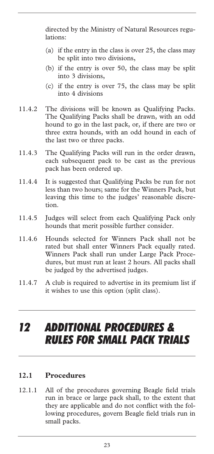directed by the Ministry of Natural Resources regulations:

- (a) if the entry in the class is over 25, the class may be split into two divisions,
- (b) if the entry is over 50, the class may be split into 3 divisions,
- (c) if the entry is over 75, the class may be split into 4 divisions
- 11.4.2 The divisions will be known as Qualifying Packs. The Qualifying Packs shall be drawn, with an odd hound to go in the last pack, or, if there are two or three extra hounds, with an odd hound in each of the last two or three packs.
- 11.4.3 The Qualifying Packs will run in the order drawn, each subsequent pack to be cast as the previous pack has been ordered up.
- 11.4.4 It is suggested that Qualifying Packs be run for not less than two hours; same for the Winners Pack, but leaving this time to the judges' reasonable discretion.
- 11.4.5 Judges will select from each Qualifying Pack only hounds that merit possible further consider.
- 11.4.6 Hounds selected for Winners Pack shall not be rated but shall enter Winners Pack equally rated. Winners Pack shall run under Large Pack Procedures, but must run at least 2 hours. All packs shall be judged by the advertised judges.
- 11.4.7 A club is required to advertise in its premium list if it wishes to use this option (split class).

### *12 ADDITIONAL PROCEDURES & RULES FOR SMALL PACK TRIALS*

### **12.1 Procedures**

12.1.1 All of the procedures governing Beagle field trials run in brace or large pack shall, to the extent that they are applicable and do not conflict with the following procedures, govern Beagle field trials run in small packs.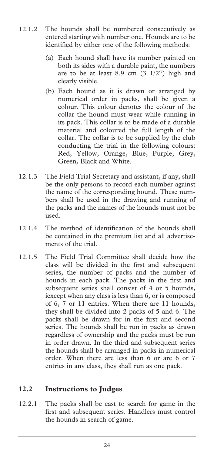- 12.1.2 The hounds shall be numbered consecutively as entered starting with number one. Hounds are to be identified by either one of the following methods:
	- (a) Each hound shall have its number painted on both its sides with a durable paint, the numbers are to be at least  $8.9 \text{ cm } (3 \frac{1}{2})$  high and clearly visible.
	- (b) Each hound as it is drawn or arranged by numerical order in packs, shall be given a colour. This colour denotes the colour of the collar the hound must wear while running in its pack. This collar is to be made of a durable material and coloured the full length of the collar. The collar is to be supplied by the club conducting the trial in the following colours: Red, Yellow, Orange, Blue, Purple, Grey, Green, Black and White.
- 12.1.3 The Field Trial Secretary and assistant, if any, shall be the only persons to record each number against the name of the corresponding hound. These numbers shall be used in the drawing and running of the packs and the names of the hounds must not be used.
- 12.1.4 The method of identification of the hounds shall be contained in the premium list and all advertisements of the trial.
- 12.1.5 The Field Trial Committee shall decide how the class will be divided in the first and subsequent series, the number of packs and the number of hounds in each pack. The packs in the first and subsequent series shall consist of 4 or 5 hounds, iexcept when any class is less than 6, or is composed of 6, 7 or 11 entries. When there are 11 hounds, they shall be divided into 2 packs of 5 and 6. The packs shall be drawn for in the first and second series. The hounds shall be run in packs as drawn regardless of ownership and the packs must be run in order drawn. In the third and subsequent series the hounds shall be arranged in packs in numerical order. When there are less than 6 or are 6 or 7 entries in any class, they shall run as one pack.

### **12.2 Instructions to Judges**

12.2.1 The packs shall be cast to search for game in the first and subsequent series. Handlers must control the hounds in search of game.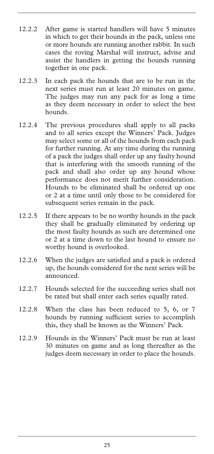- 12.2.2 After game is started handlers will have 5 minutes in which to get their hounds in the pack, unless one or more hounds are running another rabbit. In such cases the roving Marshal will instruct, advise and assist the handlers in getting the hounds running together in one pack.
- 12.2.3 In each pack the hounds that are to be run in the next series must run at least 20 minutes on game. The judges may run any pack for as long a time as they deem necessary in order to select the best hounds.
- 12.2.4 The previous procedures shall apply to all packs and to all series except the Winners' Pack. Judges may select some or all of the hounds from each pack for further running. At any time during the running of a pack the judges shall order up any faulty hound that is interfering with the smooth running of the pack and shall also order up any hound whose performance does not merit further consideration. Hounds to be eliminated shall be ordered up one or 2 at a time until only those to be considered for subsequent series remain in the pack.
- 12.2.5 If there appears to be no worthy hounds in the pack they shall be gradually eliminated by ordering up the most faulty hounds as such are determined one or 2 at a time down to the last hound to ensure no worthy hound is overlooked.
- 12.2.6 When the judges are satisfied and a pack is ordered up, the hounds considered for the next series will be announced.
- 12.2.7 Hounds selected for the succeeding series shall not be rated but shall enter each series equally rated.
- 12.2.8 When the class has been reduced to 5, 6, or 7 hounds by running sufficient series to accomplish this, they shall be known as the Winners' Pack.
- 12.2.9 Hounds in the Winners' Pack must be run at least 30 minutes on game and as long thereafter as the judges deem necessary in order to place the hounds.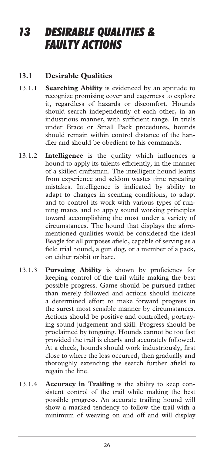## *13 DESIRABLE QUALITIES & FAULTY ACTIONS*

### **13.1 Desirable Qualities**

- 13.1.1 **Searching Ability** is evidenced by an aptitude to recognize promising cover and eagerness to explore it, regardless of hazards or discomfort. Hounds should search independently of each other, in an industrious manner, with sufficient range. In trials under Brace or Small Pack procedures, hounds should remain within control distance of the handler and should be obedient to his commands.
- 13.1.2 **Intelligence** is the quality which influences a hound to apply its talents efficiently, in the manner of a skilled craftsman. The intelligent hound learns from experience and seldom wastes time repeating mistakes. Intelligence is indicated by ability to adapt to changes in scenting conditions, to adapt and to control its work with various types of running mates and to apply sound working principles toward accomplishing the most under a variety of circumstances. The hound that displays the aforementioned qualities would be considered the ideal Beagle for all purposes afield, capable of serving as a field trial hound, a gun dog, or a member of a pack, on either rabbit or hare.
- 13.1.3 **Pursuing Ability** is shown by proficiency for keeping control of the trail while making the best possible progress. Game should be pursued rather than merely followed and actions should indicate a determined effort to make forward progress in the surest most sensible manner by circumstances. Actions should be positive and controlled, portraying sound judgement and skill. Progress should be proclaimed by tonguing. Hounds cannot be too fast provided the trail is clearly and accurately followed. At a check, hounds should work industriously, first close to where the loss occurred, then gradually and thoroughly extending the search further afield to regain the line.
- 13.1.4 **Accuracy in Trailing** is the ability to keep consistent control of the trail while making the best possible progress. An accurate trailing hound will show a marked tendency to follow the trail with a minimum of weaving on and off and will display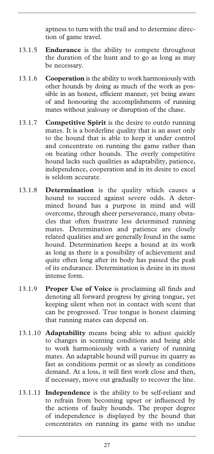aptness to turn with the trail and to determine direction of game travel.

- 13.1.5 **Endurance** is the ability to compete throughout the duration of the hunt and to go as long as may be necessary.
- 13.1.6 **Cooperation** is the ability to work harmoniously with other hounds by doing as much of the work as possible in an honest, efficient manner, yet being aware of and honouring the accomplishments of running mates without jealousy or disruption of the chase.
- 13.1.7 **Competitive Spirit** is the desire to outdo running mates. It is a borderline quality that is an asset only to the hound that is able to keep it under control and concentrate on running the game rather than on beating other hounds. The overly competitive hound lacks such qualities as adaptability, patience, independence, cooperation and in its desire to excel is seldom accurate.
- 13.1.8 **Determination** is the quality which causes a hound to succeed against severe odds. A determined hound has a purpose in mind and will overcome, through sheer perseverance, many obstacles that often frustrate less determined running mates. Determination and patience are closely related qualities and are generally found in the same hound. Determination keeps a hound at its work as long as there is a possibility of achievement and quite often long after its body has passed the peak of its endurance. Determination is desire in its most intense form.
- 13.1.9 **Proper Use of Voice** is proclaiming all finds and denoting all forward progress by giving tongue, yet keeping silent when not in contact with scent that can be progressed. True tongue is honest claiming that running mates can depend on.
- 13.1.10 **Adaptability** means being able to adjust quickly to changes in scenting conditions and being able to work harmoniously with a variety of running mates. An adaptable hound will pursue its quarry as fast as conditions permit or as slowly as conditions demand. At a loss, it will first work close and then, if necessary, move out gradually to recover the line.
- 13.1.11 **Independence** is the ability to be self-reliant and to refrain from becoming upset or influenced by the actions of faulty hounds. The proper degree of independence is displayed by the hound that concentrates on running its game with no undue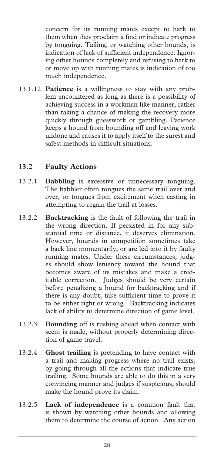concern for its running mates except to hark to them when they proclaim a find or indicate progress by tonguing. Tailing, or watching other hounds, is indication of lack of sufficient independence. Ignoring other hounds completely and refusing to hark to or move up with running mates is indication of too much independence.

13.1.12 **Patience** is a willingness to stay with any problem encountered as long as there is a possibility of achieving success in a workman like manner, rather than taking a chance of making the recovery more quickly through guesswork or gambling. Patience keeps a hound from bounding off and leaving work undone and causes it to apply itself to the surest and safest methods in difficult situations.

### **13.2 Faulty Actions**

- 13.2.1 **Babbling** is excessive or unnecessary tonguing. The babbler often tongues the same trail over and over, or tongues from excitement when casting in attempting to regain the trail at losses.
- 13.2.2 **Backtracking** is the fault of following the trail in the wrong direction. If persisted in for any substantial time or distance, it deserves elimination. However, hounds in competition sometimes take a back line momentarily, or are led into it by faulty running mates. Under these circumstances, judges should show leniency toward the hound that becomes aware of its mistakes and make a creditable correction. Judges should be very certain before penalizing a hound for backtracking and if there is any doubt, take sufficient time to prove it to be either right or wrong. Backtracking indicates lack of ability to determine direction of game level.
- 13.2.3 **Bounding** off is rushing ahead when contact with scent is made, without properly determining direction of game travel.
- 13.2.4 **Ghost trailing** is pretending to have contact with a trail and making progress where no trail exists, by going through all the actions that indicate true trailing. Some hounds are able to do this in a very convincing manner and judges if suspicious, should make the hound prove its claim.
- 13.2.5 **Lack of independence** is a common fault that is shown by watching other hounds and allowing them to determine the course of action. Any action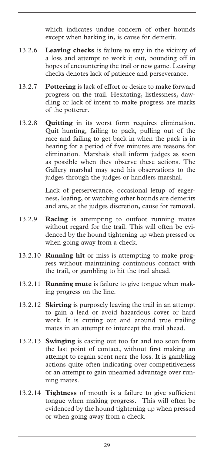which indicates undue concern of other hounds except when harking in, is cause for demerit.

- 13.2.6 **Leaving checks** is failure to stay in the vicinity of a loss and attempt to work it out, bounding off in hopes of encountering the trail or new game. Leaving checks denotes lack of patience and perseverance.
- 13.2.7 **Pottering** is lack of effort or desire to make forward progress on the trail. Hesitating, listlessness, dawdling or lack of intent to make progress are marks of the potterer.
- 13.2.8 **Quitting** in its worst form requires elimination. Quit hunting, failing to pack, pulling out of the race and failing to get back in when the pack is in hearing for a period of five minutes are reasons for elimination. Marshals shall inform judges as soon as possible when they observe these actions. The Gallery marshal may send his observations to the judges through the judges or handlers marshal.

Lack of perserverance, occasional letup of eagerness, loafing, or watching other hounds are demerits and are, at the judges discretion, cause for removal.

- 13.2.9 **Racing** is attempting to outfoot running mates without regard for the trail. This will often be evidenced by the hound tightening up when pressed or when going away from a check.
- 13.2.10 **Running hit** or miss is attempting to make progress without maintaining continuous contact with the trail, or gambling to hit the trail ahead.
- 13.2.11 **Running mute** is failure to give tongue when making progress on the line.
- 13.2.12 **Skirting** is purposely leaving the trail in an attempt to gain a lead or avoid hazardous cover or hard work. It is cutting out and around true trailing mates in an attempt to intercept the trail ahead.
- 13.2.13 **Swinging** is casting out too far and too soon from the last point of contact, without first making an attempt to regain scent near the loss. It is gambling actions quite often indicating over competitiveness or an attempt to gain unearned advantage over running mates.
- 13.2.14 **Tightness** of mouth is a failure to give sufficient tongue when making progress. This will often be evidenced by the hound tightening up when pressed or when going away from a check.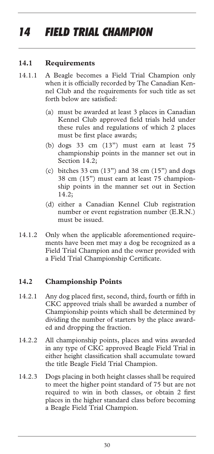## *14 FIELD TRIAL CHAMPION*

#### **14.1 Requirements**

- 14.1.1 A Beagle becomes a Field Trial Champion only when it is officially recorded by The Canadian Kennel Club and the requirements for such title as set forth below are satisfied:
	- (a) must be awarded at least 3 places in Canadian Kennel Club approved field trials held under these rules and regulations of which 2 places must be first place awards;
	- (b) dogs 33 cm (13") must earn at least 75 championship points in the manner set out in Section 14.2;
	- (c) bitches  $33 \text{ cm}$  (13") and  $38 \text{ cm}$  (15") and dogs 38 cm (15") must earn at least 75 championship points in the manner set out in Section 14.2;
	- (d) either a Canadian Kennel Club registration number or event registration number (E.R.N.) must be issued.
- 14.1.2 Only when the applicable aforementioned requirements have been met may a dog be recognized as a Field Trial Champion and the owner provided with a Field Trial Championship Certificate.

### **14.2 Championship Points**

- 14.2.1 Any dog placed first, second, third, fourth or fifth in CKC approved trials shall be awarded a number of Championship points which shall be determined by dividing the number of starters by the place awarded and dropping the fraction.
- 14.2.2 All championship points, places and wins awarded in any type of CKC approved Beagle Field Trial in either height classification shall accumulate toward the title Beagle Field Trial Champion.
- 14.2.3 Dogs placing in both height classes shall be required to meet the higher point standard of 75 but are not required to win in both classes, or obtain 2 first places in the higher standard class before becoming a Beagle Field Trial Champion.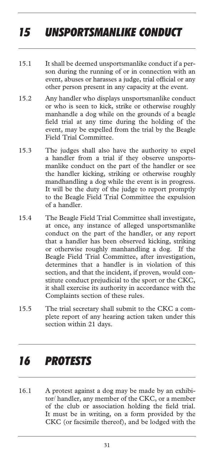## *15 UNSPORTSMANLIKE CONDUCT*

- 15.1 It shall be deemed unsportsmanlike conduct if a person during the running of or in connection with an event, abuses or harasses a judge, trial official or any other person present in any capacity at the event.
- 15.2 Any handler who displays unsportsmanlike conduct or who is seen to kick, strike or otherwise roughly manhandle a dog while on the grounds of a beagle field trial at any time during the holding of the event, may be expelled from the trial by the Beagle Field Trial Committee.
- 15.3 The judges shall also have the authority to expel a handler from a trial if they observe unsportsmanlike conduct on the part of the handler or see the handler kicking, striking or otherwise roughly mandhandling a dog while the event is in progress. It will be the duty of the judge to report promptly to the Beagle Field Trial Committee the expulsion of a handler.
- 15.4 The Beagle Field Trial Committee shall investigate, at once, any instance of alleged unsportsmanlike conduct on the part of the handler, or any report that a handler has been observed kicking, striking or otherwise roughly manhandling a dog. If the Beagle Field Trial Committee, after investigation, determines that a handler is in violation of this section, and that the incident, if proven, would constitute conduct prejudicial to the sport or the CKC, it shall exercise its authority in accordance with the Complaints section of these rules.
- 15.5 The trial secretary shall submit to the CKC a complete report of any hearing action taken under this section within 21 days.

### *16 PROTESTS*

16.1 A protest against a dog may be made by an exhibitor/ handler, any member of the CKC, or a member of the club or association holding the field trial. It must be in writing, on a form provided by the CKC (or facsimile thereof), and be lodged with the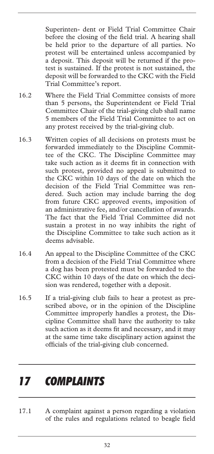Superinten- dent or Field Trial Committee Chair before the closing of the field trial. A hearing shall be held prior to the departure of all parties. No protest will be entertained unless accompanied by a deposit. This deposit will be returned if the protest is sustained. If the protest is not sustained, the deposit will be forwarded to the CKC with the Field Trial Committee's report.

- 16.2 Where the Field Trial Committee consists of more than 5 persons, the Superintendent or Field Trial Committee Chair of the trial-giving club shall name 5 members of the Field Trial Committee to act on any protest received by the trial-giving club.
- 16.3 Written copies of all decisions on protests must be forwarded immediately to the Discipline Committee of the CKC. The Discipline Committee may take such action as it deems fit in connection with such protest, provided no appeal is submitted to the CKC within 10 days of the date on which the decision of the Field Trial Committee was rendered. Such action may include barring the dog from future CKC approved events, imposition of an administrative fee, and/or cancellation of awards. The fact that the Field Trial Committee did not sustain a protest in no way inhibits the right of the Discipline Committee to take such action as it deems advisable.
- 16.4 An appeal to the Discipline Committee of the CKC from a decision of the Field Trial Committee where a dog has been protested must be forwarded to the CKC within 10 days of the date on which the decision was rendered, together with a deposit.
- 16.5 If a trial-giving club fails to hear a protest as prescribed above, or in the opinion of the Discipline Committee improperly handles a protest, the Discipline Committee shall have the authority to take such action as it deems fit and necessary, and it may at the same time take disciplinary action against the officials of the trial-giving club concerned.

## *17 COMPLAINTS*

17.1 A complaint against a person regarding a violation of the rules and regulations related to beagle field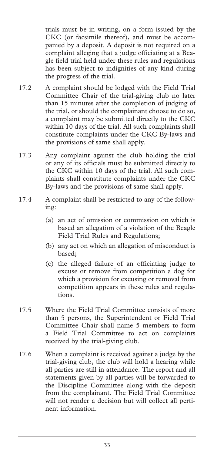trials must be in writing, on a form issued by the CKC (or facsimile thereof), and must be accompanied by a deposit. A deposit is not required on a complaint alleging that a judge officiating at a Beagle field trial held under these rules and regulations has been subject to indignities of any kind during the progress of the trial.

- 17.2 A complaint should be lodged with the Field Trial Committee Chair of the trial-giving club no later than 15 minutes after the completion of judging of the trial, or should the complainant choose to do so, a complaint may be submitted directly to the CKC within 10 days of the trial. All such complaints shall constitute complaints under the CKC By-laws and the provisions of same shall apply.
- 17.3 Any complaint against the club holding the trial or any of its officials must be submitted directly to the CKC within 10 days of the trial. All such complaints shall constitute complaints under the CKC By-laws and the provisions of same shall apply.
- 17.4 A complaint shall be restricted to any of the following:
	- (a) an act of omission or commission on which is based an allegation of a violation of the Beagle Field Trial Rules and Regulations;
	- (b) any act on which an allegation of misconduct is based;
	- (c) the alleged failure of an officiating judge to excuse or remove from competition a dog for which a provision for excusing or removal from competition appears in these rules and regulations.
- 17.5 Where the Field Trial Committee consists of more than 5 persons, the Superintendent or Field Trial Committee Chair shall name 5 members to form a Field Trial Committee to act on complaints received by the trial-giving club.
- 17.6 When a complaint is received against a judge by the trial-giving club, the club will hold a hearing while all parties are still in attendance. The report and all statements given by all parties will be forwarded to the Discipline Committee along with the deposit from the complainant. The Field Trial Committee will not render a decision but will collect all pertinent information.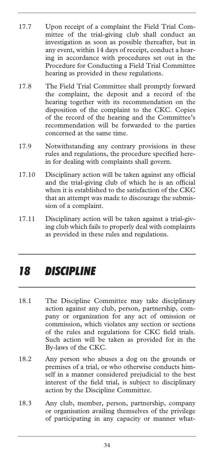- 17.7 Upon receipt of a complaint the Field Trial Committee of the trial-giving club shall conduct an investigation as soon as possible thereafter, but in any event, within 14 days of receipt, conduct a hearing in accordance with procedures set out in the Procedure for Conducting a Field Trial Committee hearing as provided in these regulations.
- 17.8 The Field Trial Committee shall promptly forward the complaint, the deposit and a record of the hearing together with its recommendation on the disposition of the complaint to the CKC. Copies of the record of the hearing and the Committee's recommendation will be forwarded to the parties concerned at the same time.
- 17.9 Notwithstanding any contrary provisions in these rules and regulations, the procedure specified herein for dealing with complaints shall govern.
- 17.10 Disciplinary action will be taken against any official and the trial-giving club of which he is an official when it is established to the satisfaction of the CKC that an attempt was made to discourage the submission of a complaint.
- 17.11 Disciplinary action will be taken against a trial-giving club which fails to properly deal with complaints as provided in these rules and regulations.

### *18 DISCIPLINE*

- 18.1 The Discipline Committee may take disciplinary action against any club, person, partnership, company or organization for any act of omission or commission, which violates any section or sections of the rules and regulations for CKC field trials. Such action will be taken as provided for in the By-laws of the CKC.
- 18.2 Any person who abuses a dog on the grounds or premises of a trial, or who otherwise conducts himself in a manner considered prejudicial to the best interest of the field trial, is subject to disciplinary action by the Discipline Committee.
- 18.3 Any club, member, person, partnership, company or organisation availing themselves of the privilege of participating in any capacity or manner what-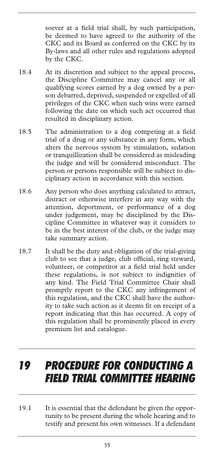soever at a field trial shall, by such participation, be deemed to have agreed to the authority of the CKC and its Board as conferred on the CKC by its By-laws and all other rules and regulations adopted by the CKC.

- 18.4 At its discretion and subject to the appeal process, the Discipline Committee may cancel any or all qualifying scores earned by a dog owned by a person debarred, deprived, suspended or expelled of all privileges of the CKC when such wins were earned following the date on which such act occurred that resulted in disciplinary action.
- 18.5 The administration to a dog competing at a field trial of a drug or any substance in any form, which alters the nervous system by stimulation, sedation or tranquillization shall be considered as misleading the judge and will be considered misconduct. The person or persons responsible will be subject to disciplinary action in accordance with this section.
- 18.6 Any person who does anything calculated to attract, distract or otherwise interfere in any way with the attention, deportment, or performance of a dog under judgement, may be disciplined by the Discipline Committee in whatever way it considers to be in the best interest of the club, or the judge may take summary action.
- 18.7 It shall be the duty and obligation of the trial-giving club to see that a judge, club official, ring steward, volunteer, or competitor at a field trial held under these regulations, is not subject to indignities of any kind. The Field Trial Committee Chair shall promptly report to the CKC any infringement of this regulation, and the CKC shall have the authority to take such action as it deems fit on receipt of a report indicating that this has occurred. A copy of this regulation shall be prominently placed in every premium list and catalogue.

### *19 PROCEDURE FOR CONDUCTING A FIELD TRIAL COMMITTEE HEARING*

19.1 It is essential that the defendant be given the opportunity to be present during the whole hearing and to testify and present his own witnesses. If a defendant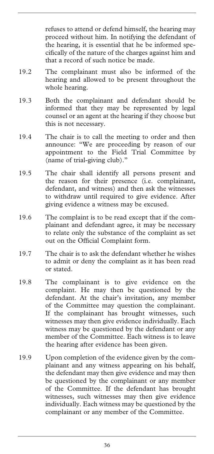refuses to attend or defend himself, the hearing may proceed without him. In notifying the defendant of the hearing, it is essential that he be informed specifically of the nature of the charges against him and that a record of such notice be made.

- 19.2 The complainant must also be informed of the hearing and allowed to be present throughout the whole hearing.
- 19.3 Both the complainant and defendant should be informed that they may be represented by legal counsel or an agent at the hearing if they choose but this is not necessary.
- 19.4 The chair is to call the meeting to order and then announce: "We are proceeding by reason of our appointment to the Field Trial Committee by (name of trial-giving club)."
- 19.5 The chair shall identify all persons present and the reason for their presence (i.e. complainant, defendant, and witness) and then ask the witnesses to withdraw until required to give evidence. After giving evidence a witness may be excused.
- 19.6 The complaint is to be read except that if the complainant and defendant agree, it may be necessary to relate only the substance of the complaint as set out on the Official Complaint form.
- 19.7 The chair is to ask the defendant whether he wishes to admit or deny the complaint as it has been read or stated.
- 19.8 The complainant is to give evidence on the complaint. He may then be questioned by the defendant. At the chair's invitation, any member of the Committee may question the complainant. If the complainant has brought witnesses, such witnesses may then give evidence individually. Each witness may be questioned by the defendant or any member of the Committee. Each witness is to leave the hearing after evidence has been given.
- 19.9 Upon completion of the evidence given by the complainant and any witness appearing on his behalf, the defendant may then give evidence and may then be questioned by the complainant or any member of the Committee. If the defendant has brought witnesses, such witnesses may then give evidence individually. Each witness may be questioned by the complainant or any member of the Committee.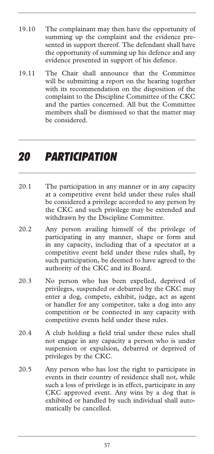- 19.10 The complainant may then have the opportunity of summing up the complaint and the evidence presented in support thereof. The defendant shall have the opportunity of summing up his defence and any evidence presented in support of his defence.
- 19.11 The Chair shall announce that the Committee will be submitting a report on the hearing together with its recommendation on the disposition of the complaint to the Discipline Committee of the CKC and the parties concerned. All but the Committee members shall be dismissed so that the matter may be considered.

### *20 PARTICIPATION*

- 20.1 The participation in any manner or in any capacity at a competitive event held under these rules shall be considered a privilege accorded to any person by the CKC and such privilege may be extended and withdrawn by the Discipline Committee.
- 20.2 Any person availing himself of the privilege of participating in any manner, shape or form and in any capacity, including that of a spectator at a competitive event held under these rules shall, by such participation, be deemed to have agreed to the authority of the CKC and its Board.
- 20.3 No person who has been expelled, deprived of privileges, suspended or debarred by the CKC may enter a dog, compete, exhibit, judge, act as agent or handler for any competitor, take a dog into any competition or be connected in any capacity with competitive events held under these rules.
- 20.4 A club holding a field trial under these rules shall not engage in any capacity a person who is under suspension or expulsion, debarred or deprived of privileges by the CKC.
- 20.5 Any person who has lost the right to participate in events in their country of residence shall not, while such a loss of privilege is in effect, participate in any CKC approved event. Any wins by a dog that is exhibited or handled by such individual shall automatically be cancelled.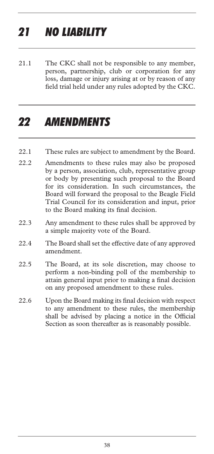## *21 NO LIABILITY*

21.1 The CKC shall not be responsible to any member, person, partnership, club or corporation for any loss, damage or injury arising at or by reason of any field trial held under any rules adopted by the CKC.

### *22 AMENDMENTS*

- 22.1 These rules are subject to amendment by the Board.
- 22.2 Amendments to these rules may also be proposed by a person, association, club, representative group or body by presenting such proposal to the Board for its consideration. In such circumstances, the Board will forward the proposal to the Beagle Field Trial Council for its consideration and input, prior to the Board making its final decision.
- 22.3 Any amendment to these rules shall be approved by a simple majority vote of the Board.
- 22.4 The Board shall set the effective date of any approved amendment.
- 22.5 The Board, at its sole discretion, may choose to perform a non-binding poll of the membership to attain general input prior to making a final decision on any proposed amendment to these rules.
- 22.6 Upon the Board making its final decision with respect to any amendment to these rules, the membership shall be advised by placing a notice in the Official Section as soon thereafter as is reasonably possible.